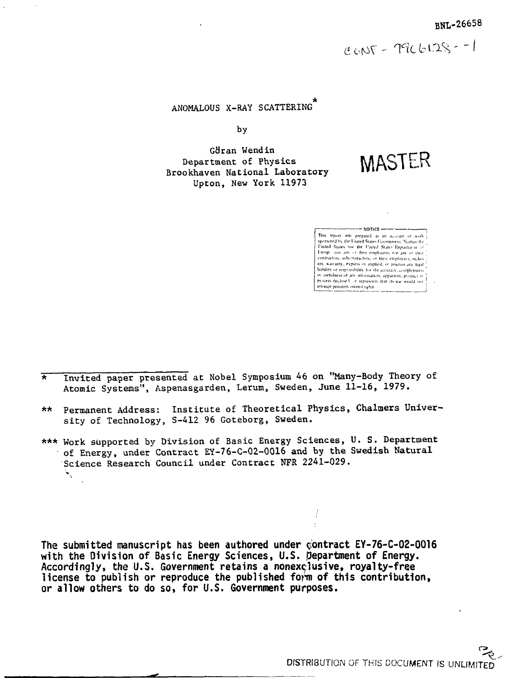$CONF - 79C6128 - 1$ 

# ANOMALOUS X-RAY SCATTERING"

by

Göran Wendin Department of Physics Brookhaven National Laboratory Upton, New York 11973

MASTER

| $---$ NOT CF $---$                                        |
|-----------------------------------------------------------|
| This report was prepared as an account of work-           |
| sponsored by the United States Government. Nother the     |
| United States not the United States Department of         |
| Energy not any of their employees, not any of their       |
| contractors, subcontractors, or their employees, makes."  |
| any warranty, express or implied, or assumes any legal '  |
| hability or responsibility for the accuracy, completeness |
| or usefulness of any information, apparatus, product or   |
| process disclosed, or represents that its use would not   |
| intrance privately owned rights                           |
|                                                           |

- \* Invited paper presented at Nobel Symposium 46 on "Many-Body Theory of Atomic Systems", Aspenasgarden, Lerum, Sweden, June 11-16, 1979.
- \*\* Permanent Address: Institute of Theoretical Physics, Chalmers University of Technology, S-412 96 Goteborg, Sweden.
- \*\*\* Work supported by Division of Basic Energy Sciences, U. S. Department of Energy, under Contract EY-76-C-02-0016 and by the Swedish Natural Science Research Council under Contract NFR 2241-029.

**The submitted manuscript has been authored under contract EY-76-C-02-0016 with the Division of Basic Energy Sciences, U.S. department of Energy. Accordingly, the U.S. Government retains a nonexclusive, royalty-free license to publish or reproduce the published form of this contribution, or allow others to do so, for U.S. Government purposes.**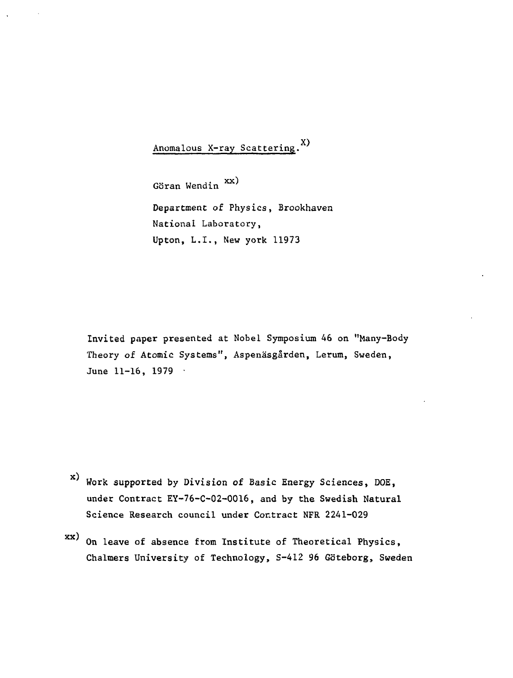Anomalous X-ray Scattering.<sup>X)</sup>

YY J Goran Wendin Department of Physics, Brookhaven National Laboratory, Upton, L.I., New york 11973

Invited paper presented at Nobel Symposium 46 on "Many-Body Theory of Atomic Systems", Aspenäsgården, Lerum, Sweden, June 11-16, 1979 •

- x) Work supported by Division of Basic Energy Sciences, Die, under Contract EY-76-C-02-0016, and by the Swedish Natural Science Research council under Contract NFR 2241-029
- On leave of absence from Institute of Theoretical Physics, Chalmers University of Technology, S-412 96 Göteborg, Sweden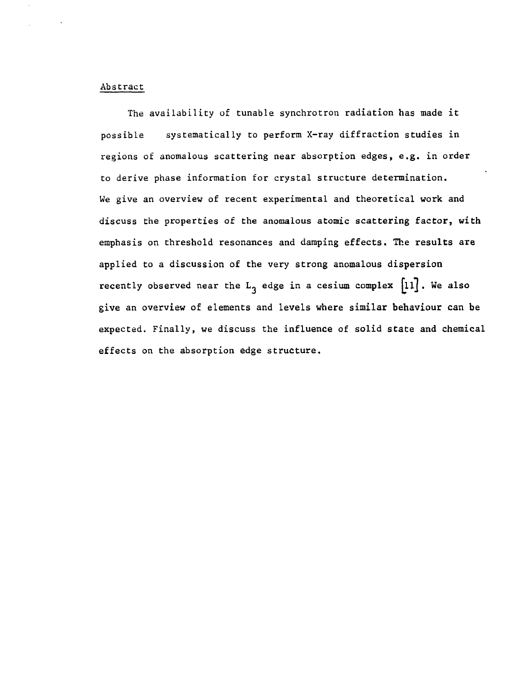### Abstract

The availability of tunable synchrotron radiation has made it possible systematically to perform X-ray diffraction studies in regions of anomalous scattering near absorption edges, e.g. in order to derive phase information for crystal structure determination. We give an overview of recent experimental and theoretical work and discuss the properties of the anomalous atomic scattering factor, with emphasis on threshold resonances and damping effects. The results are applied to a discussion of the very strong anomalous dispersion recently observed near the  $L_3$  edge in a cesium complex  $[11]$ . We also give an overview of elements and levels where similar behaviour can be expected. Finally, we discuss the influence of solid state and chemical effects on the absorption edge structure.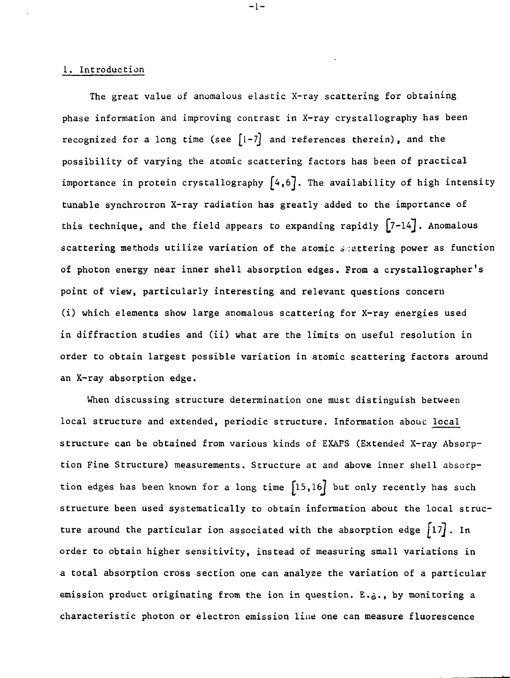### 1. Introduction

The great value of anomalous elastic X-ray scattering for obtaining phase information and improving contrast in X-ray crystallography has been recognized for a long time (see  $[1-7]$  and references therein), and the possibility of varying the atomic scattering factors has been of practical importance in protein crystallography  $[4,6]$ . The availability of high intensity tunable synchrotron X-ray radiation has greatly added to the importance of this technique, and the field appears to expanding rapidly  $[7-14]$ . Anomalous scattering methods utilize variation of the atomic scattering power as function of photon energy near inner shell absorption edges. From a crystallographer's point of view, particularly interesting and relevant questions concern (i) which elements show large anomalous scattering for X-ray energies used in diffraction studies and (ii) what are the limits on useful resolution in order to obtain largest possible variation in atomic scattering factors around an X-ray absorption edge.

 $-1-$ 

When discussing structure determination one must distinguish between local structure and extended, periodic structure. Information about local structure can be obtained from various kinds of EXAFS (Extended X-ray Absorption Fine Structure) measurements. Structure at and above inner shell absorption edges has been known for a long time  $[15,16]$  but only recently has such structure been used systematically to obtain information about the local structure around the particular ion associated with the absorption edge  $\lceil 17 \rceil$ . In order to obtain higher sensitivity, instead of measuring small variations in a total absorption cross section one can analyze the variation of a particular emission product originating from the ion in question. E.g., by monitoring a characteristic photon or electron emission line one can measure fluorescence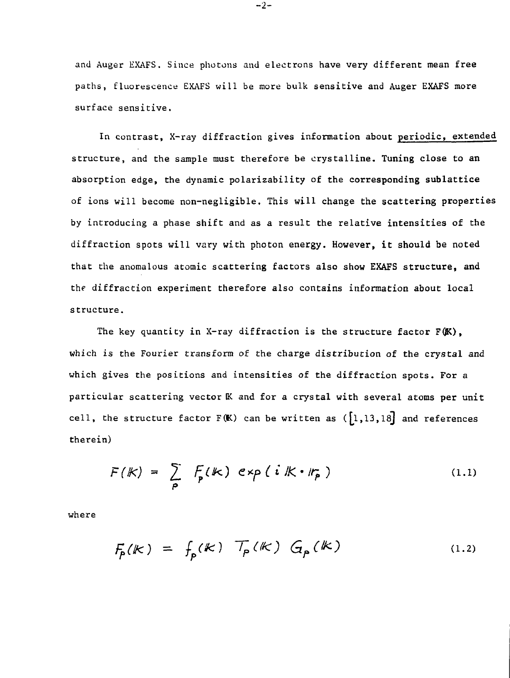and Auger EXAFS. Since photons and electrons have very different mean free paths, fluorescence EXAFS will be more bulk sensitive and Auger EXAFS more surface sensitive.

In contrast, X-ray diffraction gives information about periodic, extended structure, and the sample must therefore be crystalline. Tuning close to an absorption edge, the dynamic polarizability of the corresponding sublattice of ions will become non-negligible. This will change the scattering properties by introducing a phase shift and as a result the relative intensities of the diffraction spots will vary with photon energy. However, it should be noted that the anomalous atomic scattering factors also show EXAFS structure, and the diffraction experiment therefore also contains information about local structure.

The key quantity in X-ray diffraction is the structure factor  $F(K)$ , which is the Fourier transform of the charge distribution of the crystal and which gives the positions and intensities of the diffraction spots. For a particular scattering vector K and for a crystal with several atoms per unit cell, the structure factor  $F(K)$  can be written as  $([1,13,18]$  and references therein)

$$
F(k) = \sum_{p} F_{p}(k) \exp(i k \cdot r_{p})
$$
 (1.1)

where

$$
F_p(k) = f_p(k) \mathcal{T}_p(k) G_p(k)
$$
 (1.2)

-2-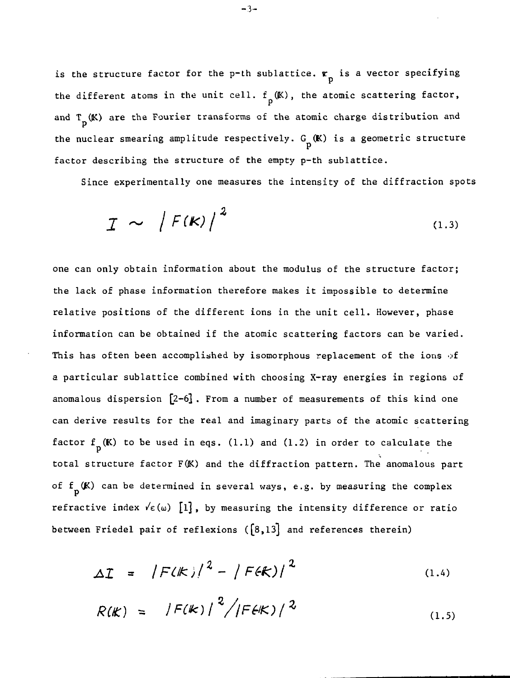is the structure factor for the p-th sublattice.  $r_{\text{p}}$  is a vector specifying the different atoms in the unit cell.  $f_n(K)$ , the atomic scattering factor, and T (K) are the Fourier transforms of the atomic charge distribution and P the nuclear smearing amplitude respectively.  $G_n(K)$  is a geometric structure factor describing the structure of the empty p-th sublattice.

Since experimentally one measures the intensity of the diffraction spots

$$
I \sim |F(K)|^2 \tag{1.3}
$$

one can only obtain information about the modulus of the structure factor; the lack of phase information therefore makes it impossible to determine relative positions of the different ions in the unit cell. However, phase information can be obtained if the atomic scattering factors can be varied. This has often been accomplished by isomorphous replacement of the ions of a particular sublattice combined with choosing X-ray energies in regions of anomalous dispersion [2-6]. From a number of measurements of this kind one can derive results for the real and imaginary parts of the atomic scattering factor  $f_p(K)$  to be used in eqs. (1.1) and (1.2) in order to calculate the total structure factor F(K) and the diffraction pattern. The anomalous part of  $f_p(K)$  can be determined in several ways, e.g. by measuring the complex refractive index  $\sqrt{\epsilon(\omega)}$  [1], by measuring the intensity difference or ratio between Friedel pair of reflexions  $([8,13]$  and references therein)

$$
\Delta T = |F(K)|^2 - |F(K)|^2 \tag{1.4}
$$

$$
R(K) = |F(K)|^2 / |F(K)|^2
$$
 (1.5)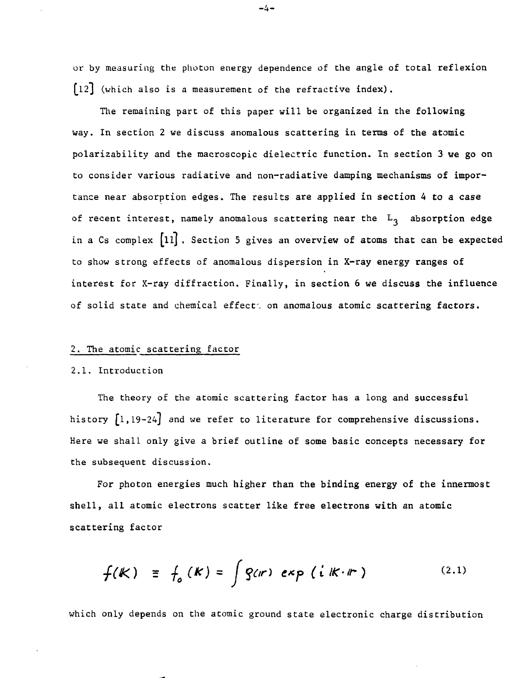or by measuring Che photon energy dependence of the angle of total reflexion L12J (which also is a measurement of the refractive index).

The remaining part of this paper will be organized in the following way. In section 2 we discuss anomalous scattering in terms of the atomic polarizability and the macroscopic dielectric function. In section 3 we go on to consider various radiative and non-radiative damping mechanisms of importance near absorption edges. The results are applied in section 4 to a case of recent interest, namely anomalous scattering near the  $L_3$  absorption edge in a Cs complex  $[11]$ . Section 5 gives an overview of atoms that can be expected to show strong effects of anomalous dispersion in X-ray energy ranges of interest for X-ray diffraction. Finally, in section 6 we discuss the influence of solid state and chemical effect', on anomalous atomic scattering factors.

### 2. The atomic scattering factor

### 2.1. Introduction

The theory of the atomic scattering factor has a long and successful history  $\begin{bmatrix} 1, 19-24 \end{bmatrix}$  and we refer to literature for comprehensive discussions. Here we shall only give a brief outline of some basic concepts necessary for the subsequent discussion.

For photon energies much higher than the binding energy of the innermost shell, all atomic electrons scatter like free electrons with an atomic scattering factor

$$
f(k) \equiv f_o(k) = \int g(n) \exp(i k \cdot r) \qquad (2.1)
$$

which only depends on the atomic ground state electronic charge distribution

-4-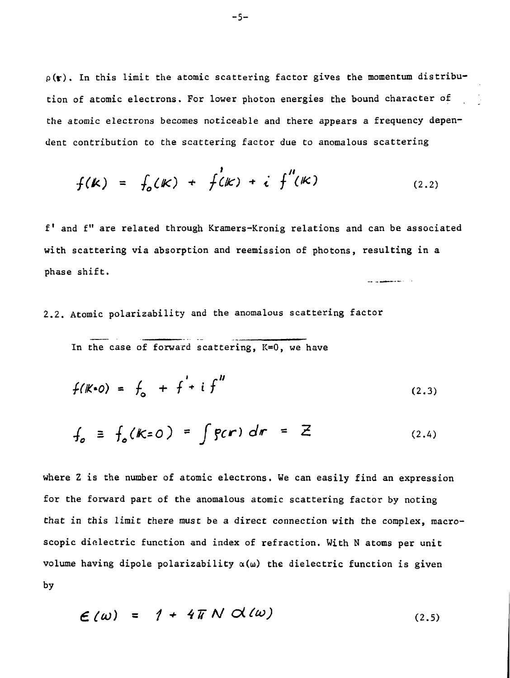$p(r)$ . In this limit the atomic scattering factor gives the momentum distribution of atomic electrons. For lower photon energies the bound character of the atomic electrons becomes noticeable and there appears a frequency dependent contribution to the scattering factor due to anomalous scattering

$$
f(k) = f_o(k) + f'(k) + i f''(k)
$$
 (2.2)

f' and f" are related through Kramers-Kronig relations and can be associated with scattering via absorption and reemission of photons, resulting in a phase shift. 

2.2. Atomic polarizability and the anomalous scattering factor

In the case of forward scattering,  $K=0$ , we have

$$
f(K=0) = f_0 + f' + i f''
$$
 (2.3)

$$
f_o \equiv f_o(k=0) = \int g(r) dr = Z
$$
 (2.4)

where Z is the number of atomic electrons. We can easily find an expression for the forward part of the anomalous atomic scattering factor by noting that in this limit there must be a direct connection with the complex, macroscopic dielectric function and index of refraction. With N atoms per unit volume having dipole polarizability  $\alpha(\omega)$  the dielectric function is given by

$$
\mathcal{L}(\omega) = 1 + 4\pi N \mathcal{A}(\omega) \tag{2.5}
$$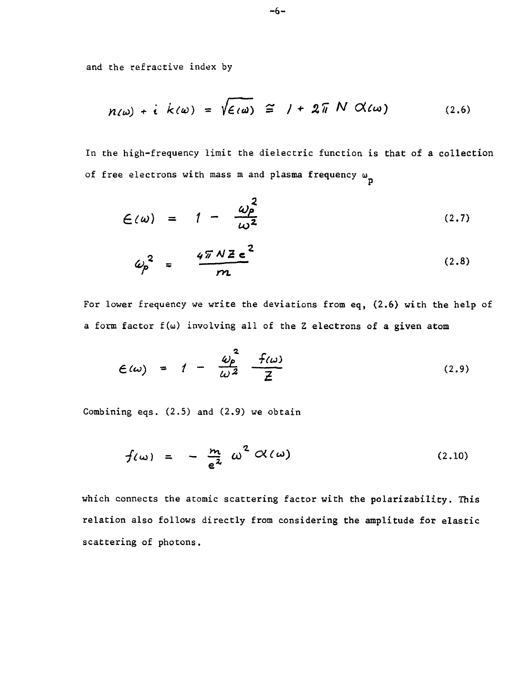and the refractive index by

$$
n(\omega) + i k(\omega) = \sqrt{\epsilon(\omega)} \cong 1 + 2\pi N \alpha(\omega) \qquad (2.6)
$$

In the high-frequency limit the dielectric function is that of a collection of free electrons with mass m and plasma frequency  $\omega_{\text{n}}$ 

$$
\mathcal{L}(\omega) = 1 - \frac{\omega_p^2}{\omega^2} \tag{2.7}
$$

$$
\omega_p^2 = \frac{4\pi N Z e^2}{m}
$$
 (2.8)

For lower frequency we write the deviations from eq, (2.6) with the help of a form factor f(u) involving all of the Z electrons of a given atom

$$
\mathcal{E}(\omega) = 1 - \frac{\omega_P^2}{\omega^2} \frac{f(\omega)}{Z} \tag{2.9}
$$

Combining eqs. (2.5) and (2.9) we obtain

$$
f(\omega) = -\frac{m}{e^2} \omega^2 \alpha(\omega) \qquad (2.10)
$$

which connects the atomic scattering factor with the polarizability. This relation also follows directly from considering the amplitude for elastic scattering of photons.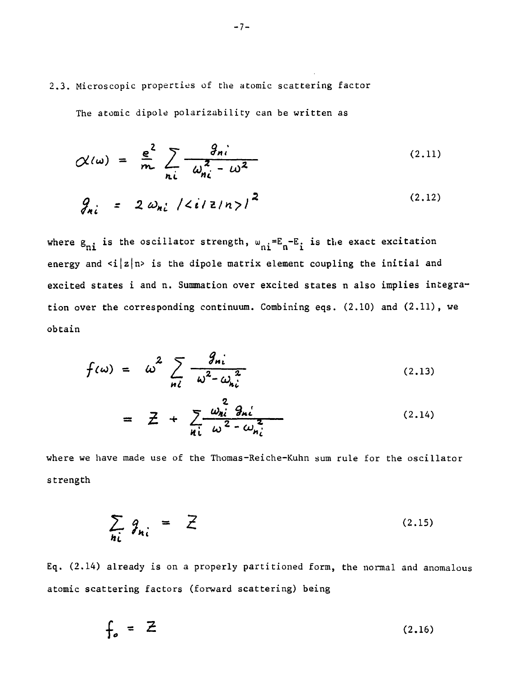2.3. Microscopic properties of the atomic scattering factor

The atomic dipole polarizability can be written as

$$
\mathcal{N}(\omega) = \frac{e^2}{m} \sum_{n_i} \frac{g_{ni}}{\omega_{ni}^2 - \omega^2}
$$
 (2.11)

$$
g_{ni} = 2 \omega_{ni} / \langle i/2/n \rangle /^{2}
$$
 (2.12)

where  $g_{ni}$  is the oscillator strength,  $w_{ni} = E_n - E_i$  is the exact excitation energy and  $\langle i|z|n\rangle$  is the dipole matrix element coupling the initial and excited states i and n. Summation over excited states n also implies integration over the corresponding continuum. Combining eqs.  $(2.10)$  and  $(2.11)$ , we obtain

$$
f(\omega) = \omega^2 \sum_{n \ell} \frac{g_{n \ell}}{\omega^2 - \omega_{n \ell}^2}
$$
 (2.13)

$$
= \mathcal{Z} + \sum_{n_i} \frac{\omega_{ni}^2 \mathcal{G}_{ni}}{\omega^2 - \omega_{ni}^2}
$$
 (2.14)

where we have made use of the Thomas-Reiche-Kuhn sum rule for the oscillator strength

$$
\sum_{ni} \theta_{ni} = \overline{Z} \tag{2.15}
$$

Eq. (2.14) already is on a properly partitioned form, the normal and anomalous atomic scattering factors (forward scattering) being

$$
f_o = Z \tag{2.16}
$$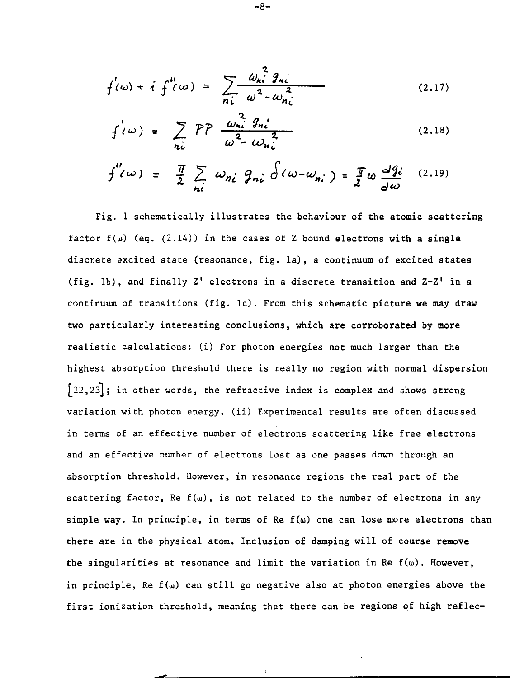$$
f'(\omega) + i f'(\omega) = \sum_{n_i} \frac{\omega_{ni}^2 g_{ni}}{\omega^2 - \omega_{ni}^2}
$$
 (2.17)

$$
f'(\omega) = \sum_{n_i} PP \frac{\omega_{ni}^2 g_{ni}}{\omega^2 - \omega_{ni}^2}
$$
 (2.18)

$$
f''(\omega) = \frac{\pi}{2} \sum_{ni} \omega_{ni} g_{ni} \delta(\omega - \omega_{ni}) = \frac{\pi}{2} \omega \frac{dg_i}{d\omega}
$$
 (2.19)

Fig. 1 schematically illustrates the behaviour of the atomic scattering factor  $f(\omega)$  (eq. (2.14)) in the cases of Z bound electrons with a single discrete excited state (resonance, fig. la), a continuum of excited states (fig. lb), and finally  $Z'$  electrons in a discrete transition and  $Z-Z'$  in a continuum of transitions (fig. lc). From this schematic picture we may draw two particularly interesting conclusions, which are corroborated by more realistic calculations: (i) For photon energies not much larger than the highest absorption threshold there is really no region with normal dispersion  $[22,23]$ ; in other words, the refractive index is complex and shows strong variation with photon energy, (ii) Experimental results are often discussed in terms of an effective number of electrons scattering like free electrons and an effective number of electrons lost as one passes down through an absorption threshold. However, in resonance regions the real part of the scattering factor, Re  $f(\omega)$ , is not related to the number of electrons in any simple way. In principle, in terms of Re  $f(\omega)$  one can lose more electrons than there are in the physical atom. Inclusion of damping will of course remove the singularities at resonance and limit the variation in Re  $f(\omega)$ . However, in principle, Re  $f(\omega)$  can still go negative also at photon energies above the first ionization threshold, meaning that there can be regions of high reflec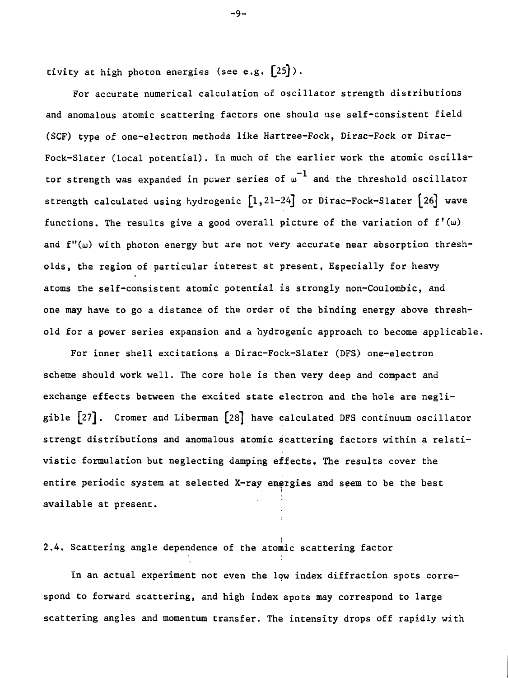tivity at high photon energies (see e.g.  $\lceil 25 \rceil$ ).

For accurate numerical calculation of oscillator strength distributions and anomalous atomic scattering factors one should use self-consistent field (SCF) type of one-electron methods like Hartree-Fock, Dirac-Fock or Dirac-Fock-Slater (local potential). In much of the earlier work the atomic oscillator strength was expanded in power series of  $\omega^{-1}$  and the threshold oscillator strength calculated using hydrogenic  $\left[1,21-24\right]$  or Dirac-Fock-Slater  $\left[26\right]$  wave functions. The results give a good overall picture of the variation of  $f'(\omega)$ and  $f''(\omega)$  with photon energy but are not very accurate near absorption thresholds, the region of particular interest at present. Especially for heavy atoms the self-consistent atomic potential is strongly non-Coulombic, and one may have to go a distance of the order of the binding energy above threshold for a power series expansion and a hydrogenic approach to become applicable.

For inner shell excitations a Dirac-Fock-Slater (DFS) one-electron scheme should work well. The core hole is then very deep and compact and exchange effects between the excited state electron and the hole are negligible [27]. Cromer and Liberman [28] have calculated DFS continuum oscillator strengt distributions and anomalous atomic scattering factors within a relativistic formulation but neglecting damping effects. The results cover the entire periodic system at selected X-ray energies and seem to be the best available at present.

# 2.4. Scattering angle dependence of the atomic scattering factor

In an actual experiment not even the low index diffraction spots correspond to forward scattering, and high index spots may correspond to large scattering angles and momentum transfer. The intensity drops off rapidly with

-9-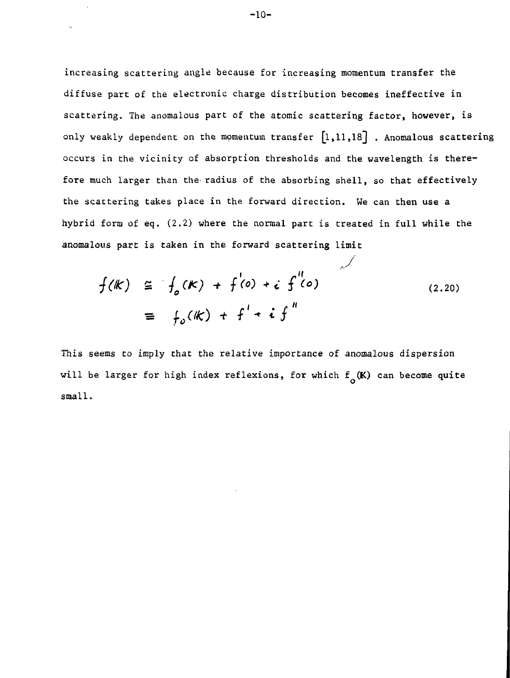increasing scattering angle because for increasing momentum transfer the diffuse part of the electronic charge distribution becomes ineffective in scattering. The anomalous part of the atomic scattering factor, however, is only weakly dependent on the momentum transfer  $[1,11,18]$  . Anomalous scattering occurs in the vicinity of absorption thresholds and the wavelength is therefore much larger than the radius of the absorbing shell, so that effectively the scattering takes place in the forward direction. We can then use a hybrid form of eq. (2.2) where the normal part is treated in full while the anomalous part is taken in the forward scattering limit

$$
f(k) \cong f_o(k) + f'(o) + i f''(o)
$$
  

$$
\cong f_o(k) + f' + i f''
$$
 (2.20)

This seems to imply that the relative importance of anomalous dispersion will be larger for high index reflexions, for which  $f_{o}(\mathbf{k})$  can become quite small.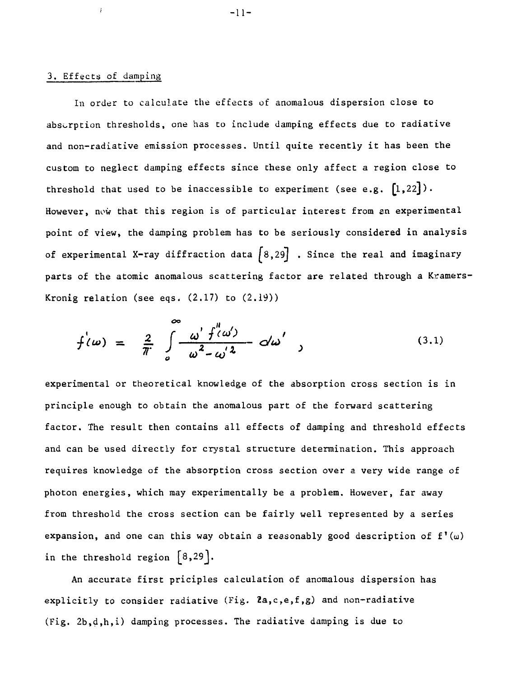### 3. Effects of damping

į,

In order to calculate the effects of anomalous dispersion close to absorption thresholds, one has to include damping effects due to radiative and non-radiative emission processes. Until quite recently it has been the custom to neglect damping effects since these only affect a region close to threshold that used to be inaccessible to experiment (see e.g.  $[1,22]$ ). However, now that this region is of particular interest from an experimental point of view, the damping problem has to be seriously considered in analysis of experimental X-ray diffraction data  $[8,29]$  . Since the real and imaginary parts of the atomic anomalous scattering factor are related through a Kramers-Kronig relation (see eqs. (2.17) to (2.19))

$$
f'(\omega) = \frac{2}{\pi} \int_{\omega}^{\infty} \frac{\omega' f''(\omega')}{\omega^2 - \omega' \lambda} d\omega' \quad (3.1)
$$

experimental or theoretical knowledge of the absorption cross section is in principle enough to obtain the anomalous part of the forward scattering factor. The result then contains all effects of damping and threshold effects and can be used directly for crystal structure determination. This approach requires knowledge of the absorption cross section over a very wide range of photon energies, which may experimentally be a problem. However, far away from threshold the cross section can be fairly well represented by a series expansion, and one can this way obtain a reasonably good description of  $f'(u)$ in the threshold region  $\{8,29\}.$ 

An accurate first priciples calculation of anomalous dispersion has explicitly to consider radiative (Fig.  $2a, c, e, f, g$ ) and non-radiative (Fig. 2b,d,h,i) damping processes. The radiative damping is due to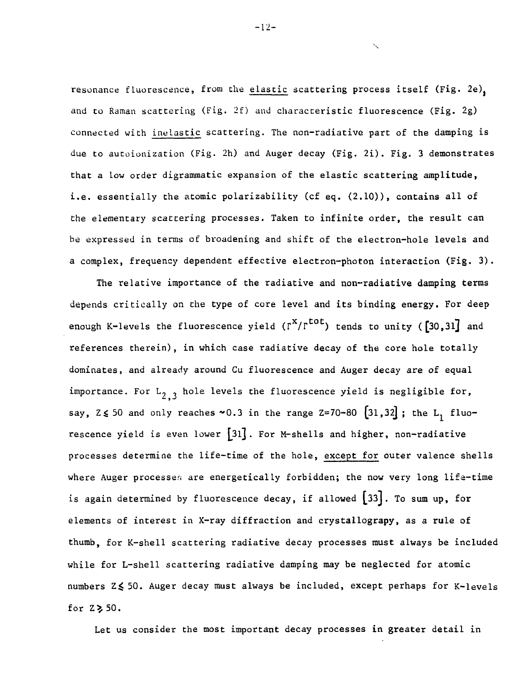resonance fluorescence, from the elastic scattering process itself (Fig. 2e), and to Raman scattering (Fig. 2f) and characteristic fluorescence (Fig. 2g) connected with inelastic scattering. The non-radiative part of the damping is due to autoionization (Fig. 2h) and Auger decay (Fig. 2i). Fig. 3 demonstrates that a low order digrammatic expansion of the elastic scattering amplitude, i.e. essentially the atomic polarizability (cf eq. (2.10)), contains all of the elementary scattering processes. Taken to infinite order, the result can be expressed in terms of broadening and shift of the electron-hole levels and a complex, frequency dependent effective electron-photon interaction (Fig. 3).

The relative importance of the radiative and non-radiative damping terms depends critically on the type of core level and its binding energy. For deep enough K-levels the fluorescence yield  $(\Gamma^X/\Gamma^{tot})$  tends to unity ([30,31] and references therein), in which case radiative decay of the core hole totally dominates, and already around Cu fluorescence and Auger decay are of equal importance. For  $L_{2,3}$  hole levels the fluorescence yield is negligible for, say,  $2 \le 50$  and only reaches  $\sim 0.3$  in the range Z=70-80  $[31,32]$ ; the L<sub>1</sub> fluorescence yield is even lower  $[31]$ . For M-shells and higher, non-radiative processes determine the life-time of the hole, except for outer valence shells where Auger processes are energetically forbidden; the now very long life-time is again determined by fluorescence decay, if allowed  $[33]$ . To sum up, for elements of interest in X-ray diffraction and crystallograpy, as a rule of thumb, for K-shell scattering radiative decay processes must always be included while for L-shell scattering radiative damping may be neglected for atomic numbers Z < 50. Auger decay must always be included, except perhaps for K-levels for  $Z\geq50$ .

Let us consider the most important decay processes in greater detail in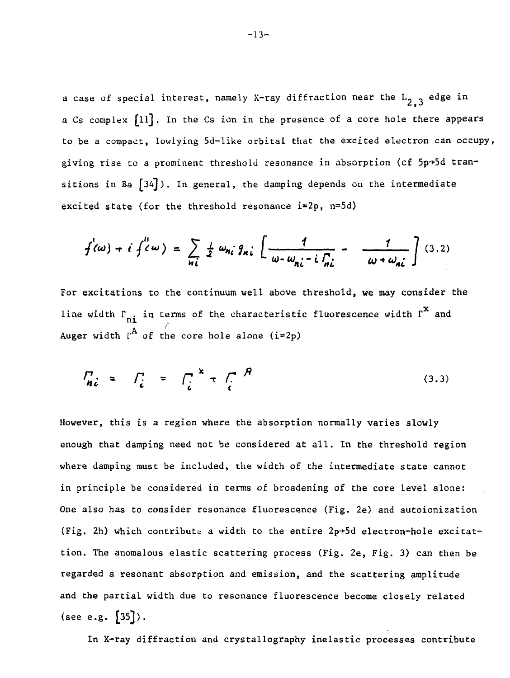a case of special interest, namely X-ray diffraction near the  $L_{2,3}$  edge in a Cs complex [ll]. In the Cs ion in the presence of a core hole there appears to be a compact, lowlying 5d-like orbital that the excited electron can occupy, giving rise to a prominent threshold resonance in absorption (cf  $5p+5d$  transitions in Ba  $[34]$ ). In general, the damping depends on the intermediate excited state (for the threshold resonance i=2p, n=5d)

$$
f'(\omega) + i f'(\omega) = \sum_{n_i} \frac{1}{2} \omega_{n_i} g_{n_i} \left[ \frac{1}{\omega - \omega_{n_i} - i \int_{n_i}^{1}} - \frac{1}{\omega + \omega_{n_i}} \right] (3.2)
$$

For excitations to the continuum well above threshold, we may consider the line width  $\Gamma_{\bf n i}$  in terms of the characteristic fluorescence width  $\Gamma^{\bf X}$  and Auger width  $r^A$  of the core hole alone (i=2p)

$$
\int_{\mathbf{n}i} z \quad \int_{i}^{T} = \int_{i}^{T} + \int_{i}^{R} \frac{f}{f} \tag{3.3}
$$

However, this is a region where the absorption normally varies slowly enough that damping need not be considered at all. In the threshold region where damping must be included, the width of the intermediate state cannot in principle be considered in terms of broadening of the core level alone: One also has to consider resonance fluorescence (Fig. 2e) and autoionization (Fig. 2h) which contribute a width to the entire  $2p+5d$  electron-hole excitattion. The anomalous elastic scattering process (Fig. 2e, Fig. 3) can then be regarded a resonant absorption and emission, and the scattering amplitude and the partial width due to resonance fluorescence become closely related (see e.g.  $[35]$ ).

In X-ray diffraction and crystallography inelastic processes contribute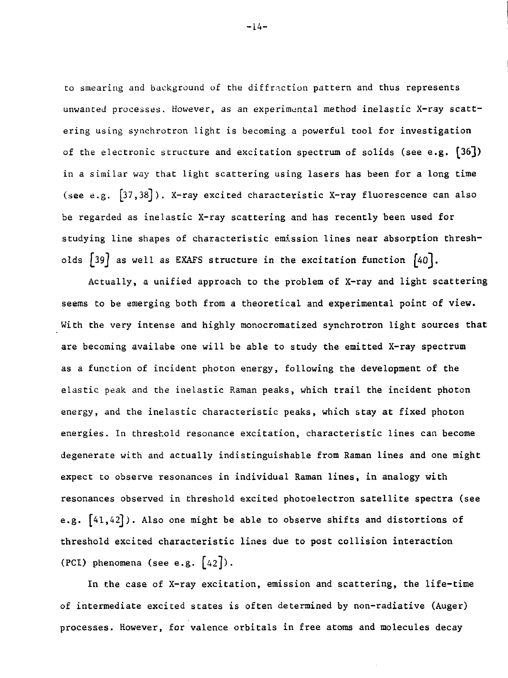to smearing and background of the diffraction pattern and thus represents unwanted processes. However, as an experimental method inelastic X-ray scattering using synchrotron light is becoming a powerful tool for investigation of the electronic structure and excitation spectrum of solids (see e.g.  $[36]$ ) in a similar way that light scattering using lasers has been for a long time (see e.g.  $[37,38]$ ). X-ray excited characteristic X-ray fluorescence can also be regarded as inelastic X-ray scattering and has recently been used for studying line shapes of characteristic emission lines near absorption thresholds  $[39]$  as well as EXAFS structure in the excitation function  $[40]$ .

Actually, a unified approach to the problem of X-ray and light scattering seems to be emerging both from a theoretical and experimental point of view. With the very intense and highly monocromatized synchrotron light sources that are becoming availabe one will be able to study the emitted X-ray spectrum as a function of incident photon energy, following the development of the elastic peak and the inelastic Raman peaks, which trail the incident photon energy, and the inelastic characteristic peaks, which stay at fixed photon energies. In threshold resonance excitation, characteristic lines can become degenerate with and actually indistinguishable from Raman lines and one might expect to observe resonances in individual Raman lines, in analogy with resonances observed in threshold excited photoelectron satellite spectra (see e.g.  $[41, 42]$ ). Also one might be able to observe shifts and distortions of threshold excited characteristic lines due to post collision interaction (PCI) phenomena (see e.g.  $[42]$ ).

In the case of X-ray excitation, emission and scattering, the life-time of intermediate excited states is often determined by non-radiative (Auger) processes. However, for valence orbitals in free atoms and molecules decay

-L4-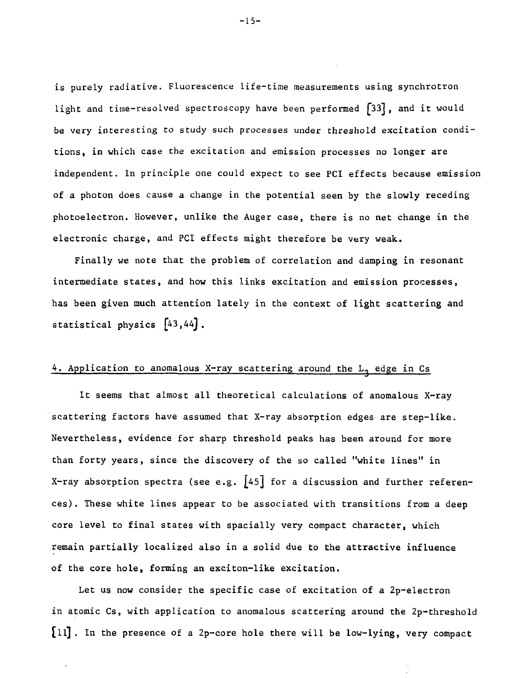is purely radiative. Fluorescence life-time measurements using synchrotron light and time-resolved spectroscopy have been performed [33], and it would be very interesting to study such processes under threshold excitation conditions, in which case the excitation and emission processes no longer are independent. In principle one could expect to see PCI effects because emission of a photon does cause a change in the potential seen by the slowly receding photoelectron. However, unlike the Auger case, there is no net change in the electronic charge, and PCI effects might therefore be very weak.

Finally we note that the problem of correlation and damping in resonant intermediate states, and how this links excitation and emission processes, has been given much attention lately in the context of light scattering and statistical physics  $[43, 44]$ .

## 4. Application to anomalous X-ray scattering around the  $L_2$  edge in Cs

It seems that almost all theoretical calculations of anomalous X-ray scattering factors have assumed that X-ray absorption edges are step-like. Nevertheless, evidence for sharp threshold peaks has been around for more than forty years, since the discovery of the so called "white lines" in X-ray absorption spectra (see e.g.  $[45]$  for a discussion and further references). These white lines appear to be associated with transitions from a deep core level to final states with spacially very compact character, which remain partially localized also in a solid due to the attractive influence of the core hole, forming an exciton-like excitation.

Let us now consider the specific case of excitation of a 2p-electron in atomic Cs, with application to anomalous scattering around the 2p-threshold [ll] . In the presence of a 2p-core hole there will be low-lying, very compact

-15-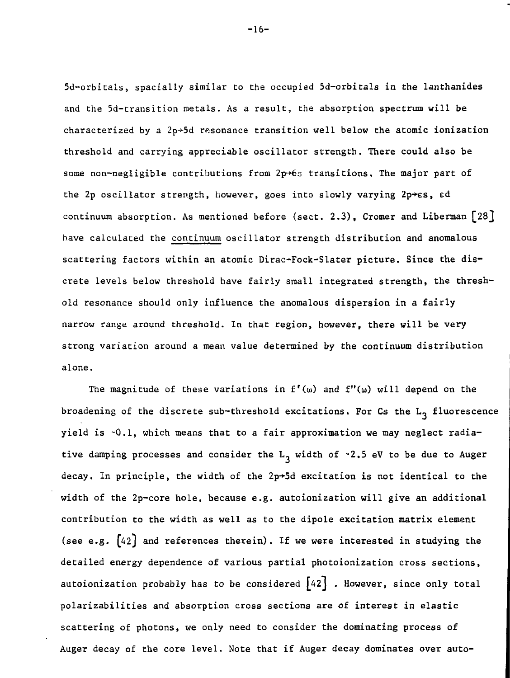5d-orbitals, spacially similar to the occupied 5d-orbitals in the lanthanides and the 5d-transition metals. As a result, the absorption spectrum will be characterized by a  $2p+5d$  resonance transition well below the atomic ionization threshold and carrying appreciable oscillator strength. There could also be some non-negligible contributions from 2p+6s transitions. The major part of the 2p oscillator strength, however, goes into slowly varying  $2p \rightarrow \epsilon s$ , ed continuum absorption. As mentioned before (sect. 2.3), Cromer and Liberman [28} have calculated the continuum oscillator strength distribution and anomalous scattering factors within an atomic Dirac-Fock-Slater picture. Since the discrete levels below threshold have fairly small integrated strength, the threshold resonance should only influence the anomalous dispersion in a fairly narrow range around threshold. In that region, however, there will be very strong variation around a mean value determined by the continuum distribution alone.

The magnitude of these variations in  $f'(\omega)$  and  $f''(\omega)$  will depend on the broadening of the discrete sub-threshold excitations. For Cs the  $L_3$  fluorescence yield is -0.1, which means that to a fair approximation we may neglect radiative damping processes and consider the  $L_3$  width of -2.5 eV to be due to Auger decay. In principle, the width of the  $2p+5d$  excitation is not identical to the width of the 2p-core hole, because e.g. autoionization will give an additional contribution to the width as well as to the dipole excitation matrix element (see e.g.  $[42]$  and references therein). If we were interested in studying the detailed energy dependence of various partial photoionization cross sections, autoionization probably has to be considered  $\begin{bmatrix} 42\\ \end{bmatrix}$  . However, since only total polarizabilities and absorption cross sections are of interest in elastic scattering of photons, we only need to consider the dominating process of Auger decay of the core level. Note that if Auger decay dominates over auto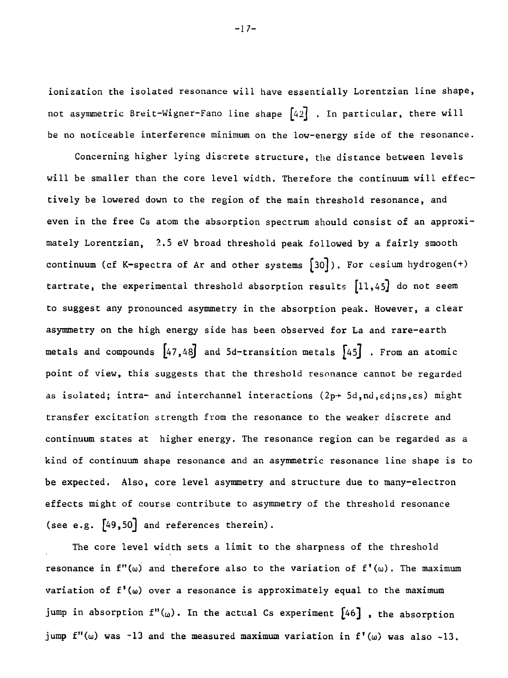ionization the isolated resonance will have essentially Lorentzian line shape, not asymmetric Breit-Wigner-Fano line shape  $[42]$  . In particular, there will be no noticeable interference minimum on the low-energy side of the resonance.

Concerning higher lying discrete structure, the distance between levels will be smaller than the core level width. Therefore the continuum will effectively be lowered down to the region of the main threshold resonance, and even in the free Cs atom the absorption spectrum should consist of an approximately Lorentzian, 2.5 eV broad threshold peak followed by a fairly smooth continuum (cf K-spectra of Ar and other systems  $[30]$ ). For cesium hydrogen(+) tartrate, the experimental threshold absorption results  $[11, 45]$  do not seem to suggest any pronounced asymmetry in the absorption peak. However, a clear asymmetry on the high energy side has been observed for La and rare-earth metals and compounds  $[47, 48]$  and 5d-transition metals  $[45]$  . From an atomic point of view, this suggests that the threshold resonance cannot be regarded as isolated; intra- and interchannel interactions  $(2p+5d,nd,ed;ns,es)$  might transfer excitation strength from the resonance to the weaker discrete and continuum states at higher energy. The resonance region can be regarded as a kind of continuum shape resonance and an asymmetric resonance line shape is to be expected. Also, core level asymmetry and structure due to many-electron effects might of course contribute to asymmetry of the threshold resonance (see e.g.  $[49, 50]$  and references therein).

The core level width sets a limit to the sharpness of the threshold resonance in  $f''(\omega)$  and therefore also to the variation of  $f'(\omega)$ . The maximum variation of  $f'(\omega)$  over a resonance is approximately equal to the maximum jump in absorption  $f''(\omega)$ . In the actual Cs experiment  $[46]$ , the absorption jump  $f''(\omega)$  was -13 and the measured maximum variation in  $f'(\omega)$  was also -13.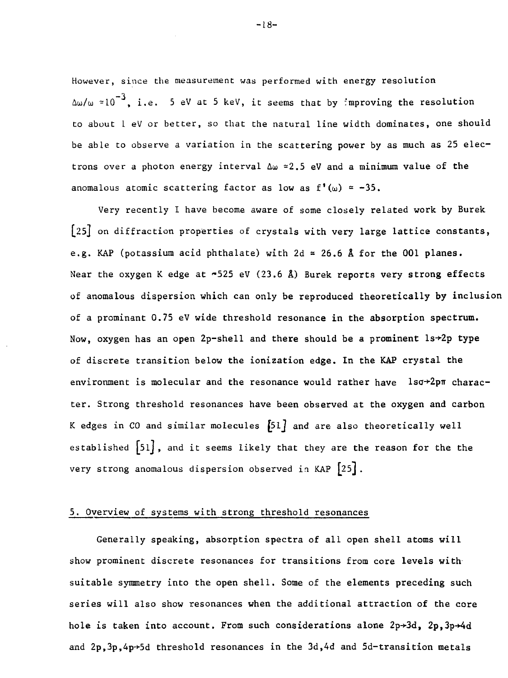However, since the measurement was performed with energy resolution  $\Delta\omega/\omega \approx 10^{-3}$ , i.e. 5 eV at 5 keV, it seems that by improving the resolution to about L eV or better, so that the natural line width dominates, one should be able to observe a variation in the scattering power by as much as 25 electrons over a photon energy interval  $\Delta \omega \approx 2.5$  eV and a minimum value of the anomalous atomic scattering factor as low as  $f'(\omega) = -35$ .

Very recently I have become aware of some closely related work by Burek [25] on diffraction properties of crystals with very **large lattice constants,** e.g. KAP (potassium acid phthalate) with 2d » 26.6 A **for the** 001 **planes.** Near the oxygen K edge at ~525 eV (23.6 A) Burek **reports very strong** effects of anomalous dispersion which can only be **reproduced theoretically by inclusion** of a prominant 0.75 eV wide threshold resonance **in** the **absorption spectrum.** Now, oxygen has an open 2p-shell and there should be a prominent  $ls+2p$  type of discrete transition below the ionization **edge.** In **the KAP crystal the** environment is molecular and the resonance would rather have  $1s\sigma+2p\pi$  character. Strong threshold resonances have been observed at the oxygen and carbon K edges in CO and similar molecules [51] and are also theoretically well established  $[51]$ , and it seems likely that they are the reason for the the very strong anomalous dispersion observed in KAP  $[25]$ .

### 5. Overview of systems with strong threshold resonances

Generally speaking, absorption spectra of all open shell atoms will show prominent discrete resonances for transitions from core levels with suitable symmetry into the open shell. Some of the elements preceding such series will also show resonances when the additional attraction of the core hole is taken into account. From such considerations alone 2p+3d, 2p,3p+4d and  $2p,3p,4p+5d$  threshold resonances in the  $3d,4d$  and  $5d$ -transition metals

-18-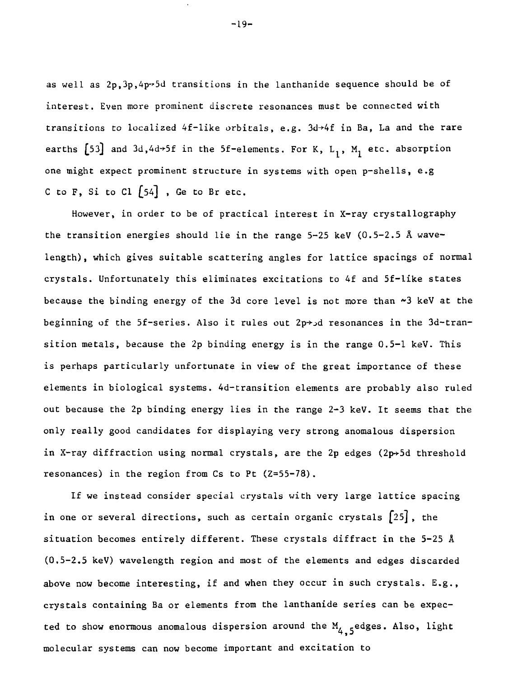as well as  $2p$ ,  $3p$ ,  $4p-5d$  transitions in the lanthanide sequence should be of interest. Even more prominent discrete resonances must be connected with transitions to localized  $4f$ -like orbitals, e.g.  $3d+4f$  in Ba, La and the rare earths  $[53]$  and  $3d, 4d \rightarrow 5f$  in the 5f-elements. For K, L<sub>1</sub>, M<sub>1</sub> etc. absorption one might expect prominent structure in systems with open p-shells, e.g C to F, Si to Cl  $[54]$ , Ge to Br etc.

However, in order to be of practical interest in X-ray crystallography the transition energies should lie in the range 5-25 keV (0.5-2.5 A wavelength), which gives suitable scattering angles for lattice spacings of normal crystals. Unfortunately this eliminates excitations to 4f and 5f-like states because the binding energy of the 3d core level is not more than »3 keV at the beginning of the 5f-series. Also it rules out  $2p \rightarrow d$  resonances in the 3d-transition metals, because the 2p binding energy is in the range 0.5-1 keV. This is perhaps particularly unfortunate in view of the great importance of these elements in biological systems. 4d-transition elements are probably also ruled out because the 2p binding energy lies in the range 2-3 keV. It seems that the only really good candidates for displaying very strong anomalous dispersion in X-ray diffraction using normal crystals, are the 2p edges (2 $p \rightarrow$ 5d threshold resonances) in the region from Cs to Pt (Z=55-78).

If we instead consider special crystals with very large lattice spacing in one or several directions, such as certain organic crystals  $\lceil 25 \rceil$ , the situation becomes entirely different. These crystals diffract in the 5-25 A (0.5-2.5 keV) wavelength region and most of the elements and edges discarded above now become interesting, if and when they occur in such crystals. E.g., crystals containing Ba or elements from the lanthanide series can be expected to show enormous anomalous dispersion around the  $M_{4,5}$ edges. Also, light molecular systems can now become important and excitation to

-19-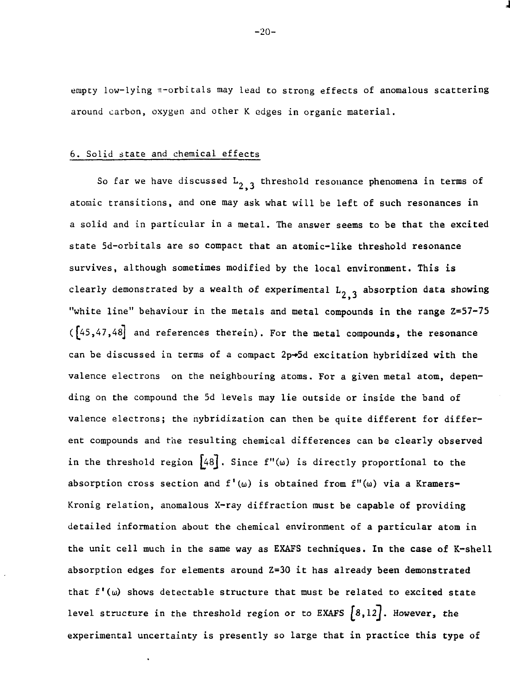empty low-lying  $\pi$ -orbitals may lead to strong effects of anomalous scattering around carbon, oxygen and other K edges in organic material.

### 6. Solid state and chemical effects

So far we have discussed  $L_{2,3}$  threshold resonance phenomena in terms of atomic transitions, and one may ask what will be left of such resonances in a solid and in particular in a metal. The answer seems to be that the excited state 5d-orbitals are so compact that an atomic-like threshold resonance survives, although sometimes modified by the local environment. This is clearly demonstrated by a wealth of experimental  $L_{2,3}$  absorption data showing "white line" behaviour in the metals and metal compounds in the range Z=57-75  $(5, 47, 48]$  and references therein). For the metal compounds, the resonance can be discussed in terms of a compact  $2p+5d$  excitation hybridized with the valence electrons on the neighbouring atoms. For a given metal atom, depending on the compound the 5d levels may lie outside or inside the band of valence electrons; the nybridization can then be quite different for different compounds and the resulting chemical differences can be clearly observed in the threshold region  $[48]$ . Since f"( $\omega$ ) is directly proportional to the absorption cross section and  $f'(\omega)$  is obtained from  $f''(\omega)$  via a Kramers-Kronig relation, anomalous X-ray diffraction must be capable of providing detailed information about the chemical environment of a particular atom in the unit cell much in the same way as EXAFS techniques. In the case of K-shell absorption edges for elements around Z=30 it has already been demonstrated that  $f'(\omega)$  shows detectable structure that must be related to excited state level structure in the threshold region or to EXAFS  $[8,12]$ . However, the experimental uncertainty is presently so large that in practice this type of

-20-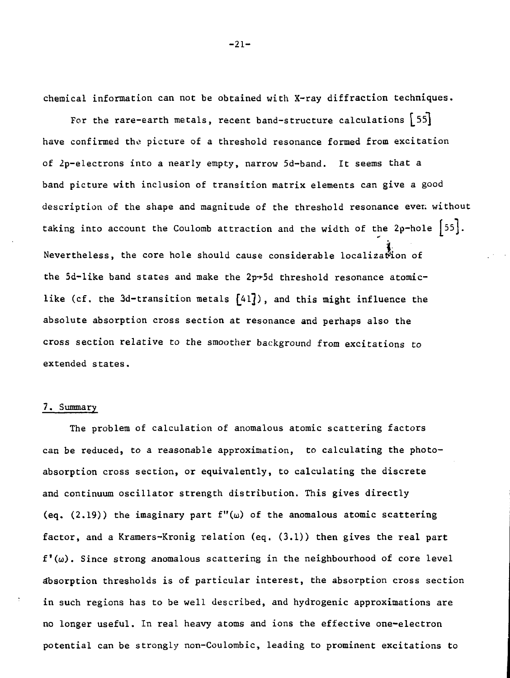chemical information can not be obtained with X-ray diffraction techniques.

For the rare-earth metals, recent band-structure calculations  $[55]$ have confirmed the picture of a threshold resonance formed from excitation of 2p-electrons into a nearly empty, narrow 5d-band. It seems that a band picture with inclusion of transition matrix elements can give a good description of the shape and magnitude of the threshold resonance ever; without taking into account the Coulomb attraction and the width of the 2p-hole  $\lceil 55 \rceil$ . Nevertheless, the core hole should cause considerable localization of the 5d-like band states and make the  $2p+5d$  threshold resonance atomiclike (cf. the 3d-transition metals  $\{41\}$ ), and this might influence the absolute absorption cross section at resonance and perhaps also the cross section relative to the smoother background from excitations to cross section relative to the smoother background from excitations to

#### 7. Summary

The problem of calculation of anomalous atomic scattering factors can be reduced, to a reasonable approximation, to calculating the photoabsorption cross section, or equivalently, to calculating the discrete and continuum oscillator strength distribution. This gives directly (eq.  $(2.19)$ ) the imaginary part  $f''(\omega)$  of the anomalous atomic scattering factor, and a Kramers-Kronig relation (eq. (3.1)) then gives the real part  $f'(\omega)$ . Since strong anomalous scattering in the neighbourhood of core level absorption thresholds is of particular interest, the absorption cross section in such regions has to be well described, and hydrogenic approximations are no longer useful. In real heavy atoms and ions the effective one-electron potential can be strongly non-Coulombic, leading to prominent excitations to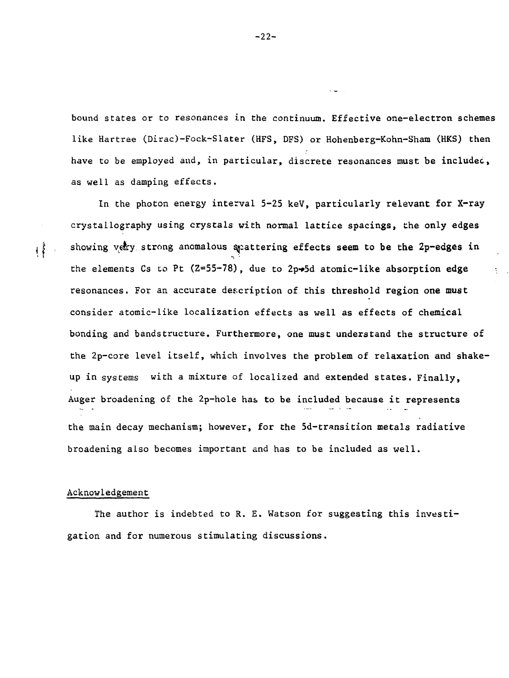bound states or to resonances in the continuum. Effective one-electron schemes like Hartree (Dirac)-Fock-Slater (HFS, DFS) or Hohenberg-Kohn-Sham (HKS) then have to be employed and, in particular, discrete resonances must be included, as well as damping effects.

In the photon energy interval 5-25 keV, particularly relevant for X-ray crystallography using crystals with normal lattice spacings, the only edges showing vetry strong anomalous spattering effects seem to be the 2p-edges in the elements Cs to Pt  $(2=55-78)$ , due to 2p $\rightarrow$ 5d atomic-like absorption edge resonances. For an accurate description of this threshold region one must consider atomic-like localization effects as well as effects of chemical bonding and bandstructure. Furthermore, one must understand the structure of the 2p-core level itself, which involves the problem of relaxation and shakeup in systems with a mixture of localized and extended states. Finally, Auger broadening of the 2p-hole has to be included because it represents the main decay mechanism; however, for the 5d-transition metals radiative broadening also becomes important and has to be included as well.

### Acknowledgement

 $\mathfrak{t}^{\mathfrak{k}}$ 

The author is indebted to R. E. Watson for suggesting this investigation and for numerous stimulating discussions.

-22-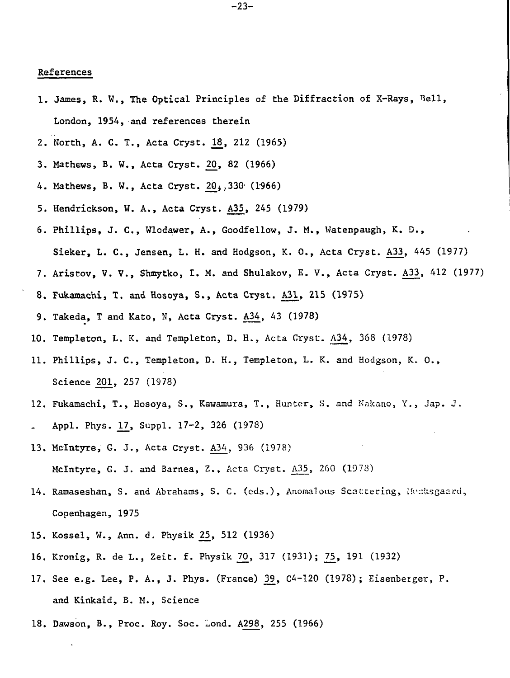#### **References**

- **1. James, R. W., The Optical Principles of the Diffraction of X-Rays, London, 1954, and references therein**
- **2. North, A. C. T., Acta Cryst. 18\_, 212 (1965)**
- **3. Mathews, B. W., Acta Cryst. 20, 82 (1966)**
- **4. Mathews, B. W., Acta Cryst. 2Q\*.>330' (1966)**
- **5. Hendrickson, W. A., Acta Cryst. A3\_5, 245 (1979)**
- **6. Phillips, J. C , Wlodawer, A., Goodfellow, J. M., Watenpaugh, K. D., Sieker, L. C , Jensen, L. H. and Hodgson, K. 0., Acta Cryst. A3\_3, 445 (1977)**
- 
- **7. Aristov, V. V., Shmytko, I. M. and Shulakov, E. V., Acta Cryst. A33, 412 (1977)**
- **8. Fukamachi, T. and Hosoya, S., Acta Cryst. A31, 215 (1975)**
- **9. Takeda, T and Kato, N, Acta Cryst. A34\_, 43 (1978)**
- **10. Templeton, L. K. and Templeton, D. H.,** Acta Cryst. **A34,** 368 (1978)
- **11. Phillips, J. C , Templeton, D. H., Templeton, L.** K. and Hodgson, K. **0., Science 20^, 257** (1978)
- 12. Fukamachi, T., Hosoya, S., Kawamura, T., Hunter, S. and Nakano, Y., Jap. J. **Appl. Phys. \_17, Suppl. 17-2, 326** (1978)
- **13. Mclntyre, G. J., Acta** Cryst. A34, 936 (1978) **Mclntyre, G. J.** and **Barnea,** Z., Acta Cryst. A35\_, 260 (1973)
- 14. Ramaseshan, S. and Abrahams, S. C. (eds.), Anomalous Scattering, Hunksgaard, **Copenhagen, 1975**
- **15. Kossel, W., Ann. d. Physik 2£, 512 (1936)**
- **16. Kronig, R. de L., Zeit. f. Physik 70, 317 (1931); 75, 191 (1932)**
- 17. See e.g. Lee, P. A., J. Phys. (France) 39, C4-120 (1978); Eisenberger, P. **and Kinkaid, B. M., Science**
- **18. Dawson, B., Proc. Roy. Soc. Lond. A298, 255 (1966)**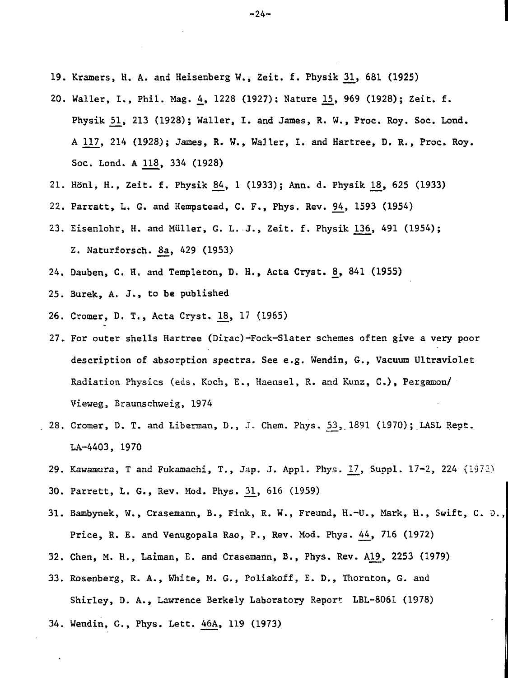- 19. Kramers, H. A. and Heisenberg W., Zeit. f. Physik 31\_, 681 (1925)
- 20. Waller, I., Phil. Mag. 4\_, 1228 (1927); Nature L5, 969 (1928); Zeit. f. Physik 51, 213 (1928); Waller, I. and James, R. W., Proc. Roy. Soc. Lond. A 117, 214 (1928); James, R. W., Waller, I. and Hartree, D. R., Proc. Roy. Soc. Lond. A 118\_, 334 (1928)
- 21. Hönl, H., Zeit. f. Physik 84, 1 (1933); Ann. d. Physik 18, 625 (1933)
- 22. Parratt, L. G. and Hempstead, C. F., Phys. Rev. 94\_, 1593 (1954)
- 23. Eisenlohr, H. and Miiller, G. L. J., Zeit. f. Physik 136^, 491 (1954); Z. Naturforsch. 8a, 429 (1953)
- 24. Dauben, C. H. and Templeton, D. H., Acta Cryst. £, 841 (1955)
- 25. Burek, A. J., to be published
- 26. Cromer, D. T., Acta Cryst. L3, 17 (1965)
- 27. For outer shells Hartree (Dirac)-Fock-Slater schemes often give a very poor description of absorption spectra. See e.g. Wendin, G., Vacuum Ultraviolet Radiation Physics (eds. Koch, E., Haensel, R. and Kunz, C) , Pergamon/ Vieweg, Braunschweig, 1974
- 28. Cromer, D. T. and Liberman, D., J. Chem. Phys. 53, 1891 (1970); LASL Rept. LA-4403, 1970
- 29. Kawamura, T and Fukamachi, T., Jap. J. Appl. Phys. 17, Suppl. 17-2, 224 (1973)
- 30. Parrett, L. G., Rev. Mod. Phys. 31, 616 (1959)
- 31. Bambynek, W., Crasemann, B., Fink, R. W., Freund, H.-U., Mark, H., Swift, C. D., Price, R. E. and Venugopala Rao, P., Rev. Mod. Phys. 44\_, 716 (1972)
- 32. Chen, M. H., Laiman, E. and Crasemann, B., Phys. Rev. Al£, 2253 (1979)
- 33. Rosenberg, R. A., White, M. G., Poliakoff, E. D., Thornton, G. and Shirley, D. A., Lawrence Berkely Laboratory Report LBL-8061 (1978)
- 34. Wendin, G., Phys. Lett. 46A, 119 (1973)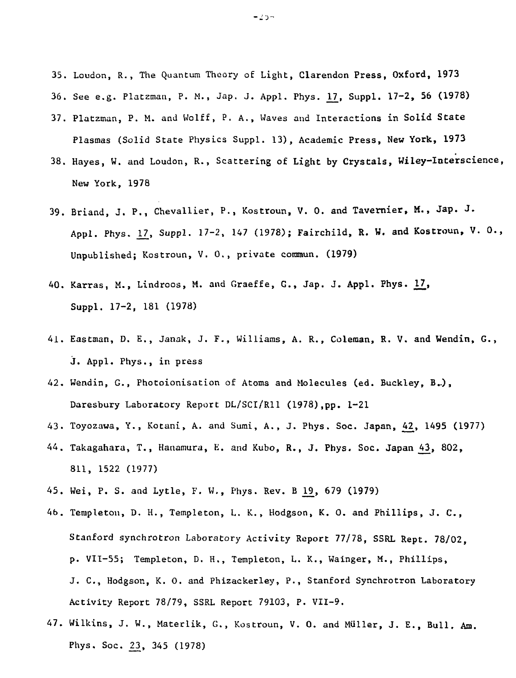- 35. Loudon, R., The Quantum Theory of Light, Clarendon Press, Oxford, 1973
- 36. See e.g. Platzman, P. M., Jap. J. Appl. Phys. 17, Suppl. 17-2, 56 (1978)
- 37. Platzman, P. M. and Wolff, P. A., Waves and Interactions in Solid State Plasmas (Solid State Physics Suppl. 13), Academic Press, New York, 1973
- 38. Hayes, W. and Loudon, R., Scattering of Light by Crystals, Wiley-Interscience, New York, 1978
- 39. Briand, J. P., Chevallier, P., Kostroun, V. 0. and Tavernier, M., Jap. J. Appl. Phys. 17, Suppl. 17-2, 147 (1978); Fairchild, R. W. and Kostroun, V. O., Unpublished; Kostroun, V. O., private commun. (1979)
- 40. Karras, M., Lindroos, M. and Graeffe, G., Jap. J. Appl. Phys. 17, Suppl. 17-2, 181 (1978)
- 41. Eastman, D. E., Janak, J. F., Williams, A. R., Coleraan, R. V. and Wendin, G., j. Appl. Phys., in press
- 42. Wendin, G., Photoionisation of Atoms and Molecules (ed. Buckley, B..), Daresbury Laboratory Report DL/SCI/R11 (1978),pp. 1-21
- 43. Toyozawa, Y., Kotani, A. and Sumi, A., J. Phys. Soc. Japan, 42, 1495 (1977)
- 44. Takagahara, T., Hanamura, K. and Kubo, R., J. Phys. Soc. Japan ^3\_, 802, 811, 1522 (1977)
- 45. Wei, P. S. and Lytle, F. W., Phys. Rev. B \_19, 679 (1979)
- 4b. Templeton, D. H., Templeton, L. K. , Hodgson, K. 0. and Phillips, J. C., Stanford synchrotron Laboratory Activity Report 77/78, SSRL Rept. 78/02, p. VII-55; Templeton, D. H., Templeton, L. K., Wainger, M., Phillips, J. C., Hodgson, K. O. and Phizackerley, P., Stanford Synchrotron Laboratory Activity Report 78/79, SSRL Report 79103, P. VII-9.
- 47. Wilkins, J. W., Materlik, G., Kostroun, V. 0. and Miiller, J. E., Bull. Am. Phys. Soc. 23, 345 (1978)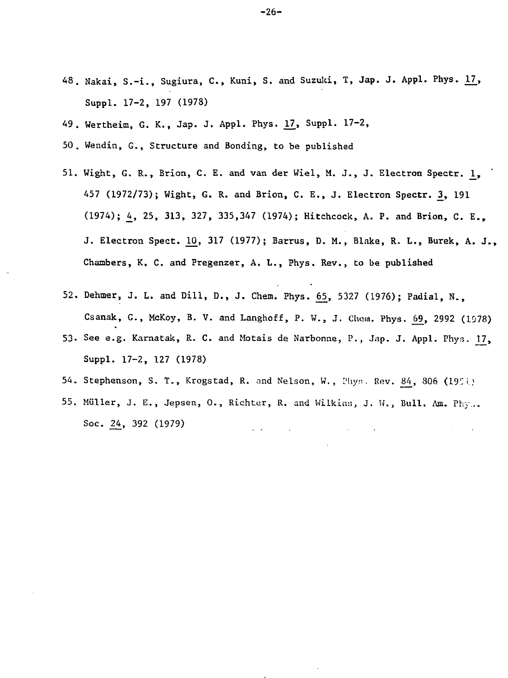- 48. Nakai, S.-i., Sugiura, C., Kuni, S. and Suzuki, T, Jap. J. Appl. Phys. 17, Suppl. 17-2, 197 (1978)
- 49. Wertheim, G. K., Jap. J. Appl. Phys. <u>17</u>, Suppl. 17-2
- 50. Wendin, G., Structure and Bonding, to be published
- 51. Wight, G. R., Brion, C. E. and van der Wiel, M. J., J. Electron Spectr.  $\underline{1}$ , 457 (1972/73); Wight, G. R. and Brion, C. E., J. Electron Spectr. 3, 191 (1974); 4, 25, 313, 327, 335,347 (1974); Hitchcock, A. P. and Brion, C. E., J. Electron Spect. 10, 317 (1977); Barrus, D. M., Blake, R. L., Burek, A. J., Chambers, K. C. and Pregenzer, A. L., Phys. Rev., to be published
- 52. Dehmer, J. L. and Dill, D., J. Chem. Phys. 65, 5327 (1976); Padial, N., Csanak, G., McKoy, B. V. and Langhoff, P. W., J. Chem. Phys. 69, 2992 (1978)
- 53- See e.g. Karnatak, R. C. and Motais de Narbonne, P., Jap. J. Appl. Phys. 17, Suppl. 17-2, 127 (1978)
- 54. Stephenson, S. T., Krogstad, R. and Nelson, W., Phys. Rev. 84, 806 (1951)
- 55. Muller, J. E., Jepsen, 0., Richter, R. and Wilkins, J. W., Bull. Am. Phy.,. Soc. 24, 392 (1979)